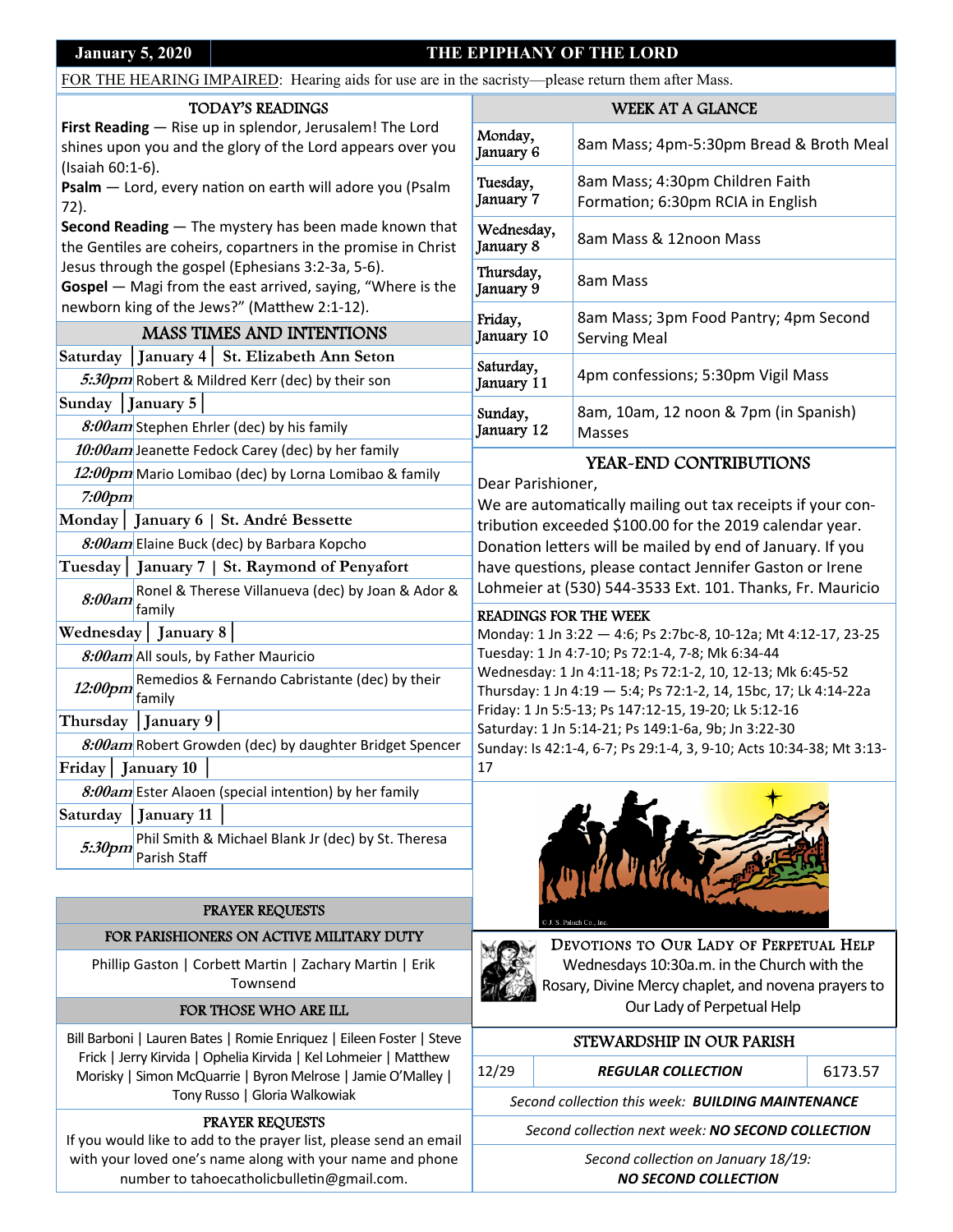## **January 5, 2020 THE EPIPHANY OF THE LORD**

FOR THE HEARING IMPAIRED: Hearing aids for use are in the sacristy—please return them after Mass.

#### TODAY'S READINGS

**First Reading** — Rise up in splendor, Jerusalem! The Lord shines upon you and the glory of the Lord appears over you (Isaiah 60:1‐6).

**Psalm** — Lord, every nation on earth will adore you (Psalm 72).

**Second Reading** — The mystery has been made known that the Gentiles are coheirs, copartners in the promise in Christ Jesus through the gospel (Ephesians 3:2‐3a, 5‐6).

**Gospel** — Magi from the east arrived, saying, "Where is the newborn king of the Jews?" (Matthew 2:1-12).

| <b>MASS TIMES AND INTENTIONS</b>                                      |                                                                    |  |  |  |  |
|-----------------------------------------------------------------------|--------------------------------------------------------------------|--|--|--|--|
|                                                                       | Saturday   January 4   St. Elizabeth Ann Seton                     |  |  |  |  |
|                                                                       | 5:30pm Robert & Mildred Kerr (dec) by their son                    |  |  |  |  |
| Sunday $\int$ January 5                                               |                                                                    |  |  |  |  |
|                                                                       | 8:00am Stephen Ehrler (dec) by his family                          |  |  |  |  |
|                                                                       | 10:00am Jeanette Fedock Carey (dec) by her family                  |  |  |  |  |
|                                                                       | 12:00pm Mario Lomibao (dec) by Lorna Lomibao & family              |  |  |  |  |
| $7:00$ pm                                                             |                                                                    |  |  |  |  |
|                                                                       | Monday   January 6   St. André Bessette                            |  |  |  |  |
|                                                                       | 8:00am Elaine Buck (dec) by Barbara Kopcho                         |  |  |  |  |
|                                                                       | Tuesday   January 7   St. Raymond of Penyafort                     |  |  |  |  |
| Ronel & Therese Villanueva (dec) by Joan & Ador &<br>8:00am<br>family |                                                                    |  |  |  |  |
| Wednesday   January 8                                                 |                                                                    |  |  |  |  |
|                                                                       | 8:00am All souls, by Father Mauricio                               |  |  |  |  |
| 12:00pm                                                               | Remedios & Fernando Cabristante (dec) by their<br>family           |  |  |  |  |
|                                                                       | Thursday   January 9                                               |  |  |  |  |
|                                                                       | 8:00am Robert Growden (dec) by daughter Bridget Spencer            |  |  |  |  |
|                                                                       | Friday   January 10                                                |  |  |  |  |
|                                                                       | 8:00am Ester Alaoen (special intention) by her family              |  |  |  |  |
|                                                                       | Saturday   January 11                                              |  |  |  |  |
| 5:30pm                                                                | Phil Smith & Michael Blank Jr (dec) by St. Theresa<br>Parish Staff |  |  |  |  |

| <b>PRAYER REQUESTS</b> |
|------------------------|
|------------------------|

#### FOR PARISHIONERS ON ACTIVE MILITARY DUTY

Phillip Gaston | Corbett Martin | Zachary Martin | Erik Townsend

#### FOR THOSE WHO ARE ILL

Bill Barboni | Lauren Bates | Romie Enriquez | Eileen Foster | Steve Frick | Jerry Kirvida |Ophelia Kirvida | Kel Lohmeier | Matthew Morisky | Simon McQuarrie | Byron Melrose | Jamie O'Malley | Tony Russo | Gloria Walkowiak

#### PRAYER REQUESTS

If you would like to add to the prayer list, please send an email with your loved one's name along with your name and phone number to tahoecatholicbulletin@gmail.com.

|                                                                                                                                                                                                                                                                                                                                                                  | WEEK AT A GLANCE                                                     |  |  |  |
|------------------------------------------------------------------------------------------------------------------------------------------------------------------------------------------------------------------------------------------------------------------------------------------------------------------------------------------------------------------|----------------------------------------------------------------------|--|--|--|
| Monday,<br>January 6                                                                                                                                                                                                                                                                                                                                             | 8am Mass; 4pm-5:30pm Bread & Broth Meal                              |  |  |  |
| Tuesday,<br>January 7                                                                                                                                                                                                                                                                                                                                            | 8am Mass; 4:30pm Children Faith<br>Formation; 6:30pm RCIA in English |  |  |  |
| Wednesday,<br>January 8                                                                                                                                                                                                                                                                                                                                          | 8am Mass & 12noon Mass                                               |  |  |  |
| Thursday,<br>January 9                                                                                                                                                                                                                                                                                                                                           | 8am Mass                                                             |  |  |  |
| Fridav,<br>January 10                                                                                                                                                                                                                                                                                                                                            | 8am Mass; 3pm Food Pantry; 4pm Second<br><b>Serving Meal</b>         |  |  |  |
| Saturday,<br>January 11                                                                                                                                                                                                                                                                                                                                          | 4pm confessions; 5:30pm Vigil Mass                                   |  |  |  |
| Sunday,<br>January 12                                                                                                                                                                                                                                                                                                                                            | 8am, 10am, 12 noon & 7pm (in Spanish)<br>Masses                      |  |  |  |
| <b>YEAR-END CONTRIBUTIONS</b><br>Dear Parishioner,<br>We are automatically mailing out tax receipts if your con-<br>tribution exceeded \$100.00 for the 2019 calendar year.<br>Donation letters will be mailed by end of January. If you<br>have questions, please contact Jennifer Gaston or Irene<br>Lohmeier at (530) 544-3533 Ext. 101. Thanks, Fr. Mauricio |                                                                      |  |  |  |
| <b>READINGS FOR THE WEEK</b>                                                                                                                                                                                                                                                                                                                                     |                                                                      |  |  |  |

#### READINGS FOR THE WEEK

Monday: 1 Jn 3:22 — 4:6; Ps 2:7bc‐8, 10‐12a; Mt 4:12‐17, 23‐25 Tuesday: 1 Jn 4:7‐10; Ps 72:1‐4, 7‐8; Mk 6:34‐44 Wednesday: 1 Jn 4:11‐18; Ps 72:1‐2, 10, 12‐13; Mk 6:45‐52 Thursday: 1 Jn 4:19 — 5:4; Ps 72:1‐2, 14, 15bc, 17; Lk 4:14‐22a Friday: 1 Jn 5:5‐13; Ps 147:12‐15, 19‐20; Lk 5:12‐16 Saturday: 1 Jn 5:14‐21; Ps 149:1‐6a, 9b; Jn 3:22‐30 Sunday: Is 42:1‐4, 6‐7; Ps 29:1‐4, 3, 9‐10; Acts 10:34‐38; Mt 3:13‐ 17



DEVOTIONS TO OUR LADY OF PERPETUAL HELP Wednesdays 10:30a.m. in the Church with the Rosary, Divine Mercy chaplet, and novena prayers to Our Lady of Perpetual Help

#### STEWARDSHIP IN OUR PARISH

12/29 *REGULAR COLLECTION* 6173.57

*Second collecƟon this week: BUILDING MAINTENANCE*

*Second collecƟon next week: NO SECOND COLLECTION* 

*Second collecƟon on January 18/19: NO SECOND COLLECTION*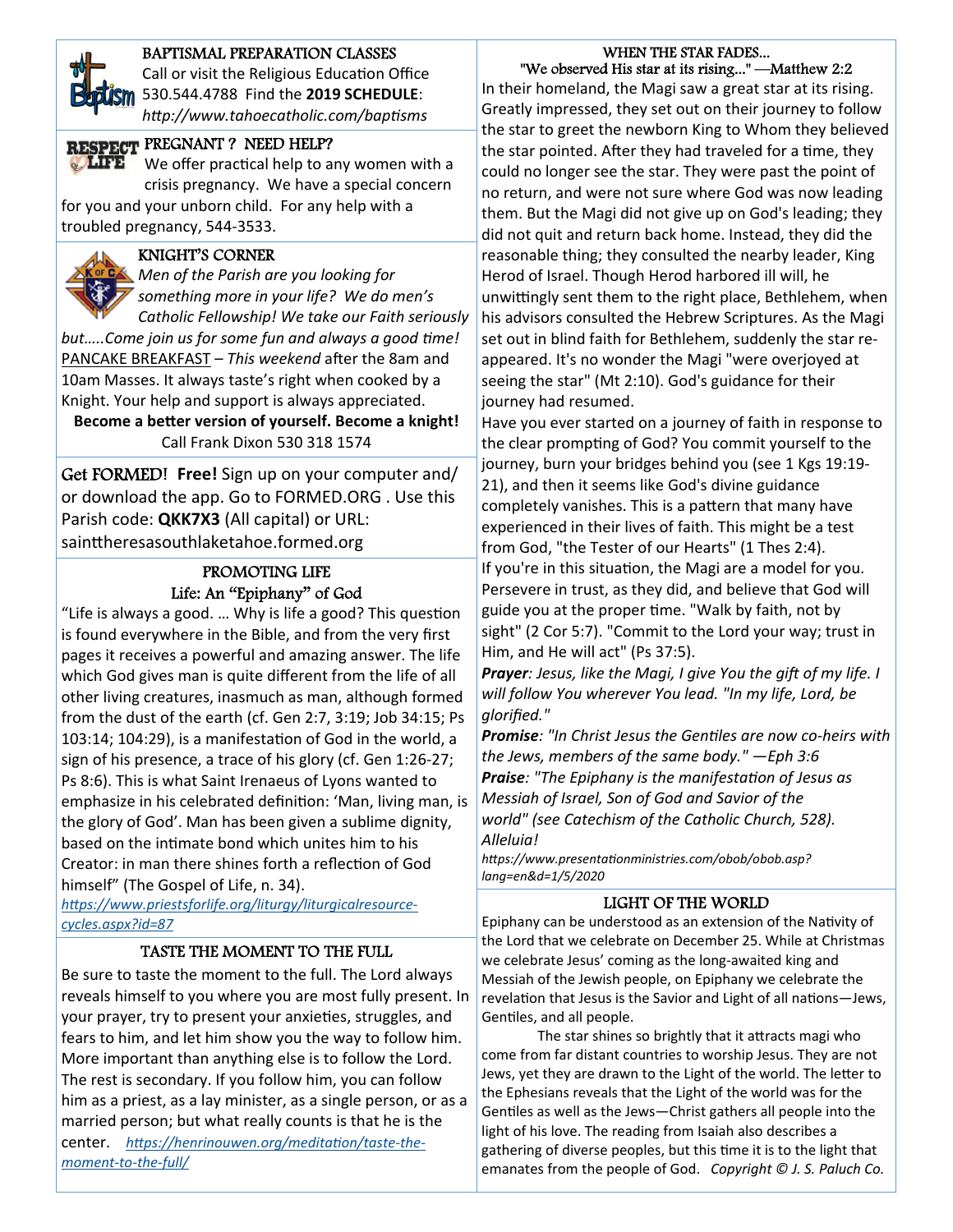

#### BAPTISMAL PREPARATION CLASSES

 *hƩp://www.tahoecatholic.com/bapƟsms* Call or visit the Religious Education Office 530.544.4788 Find the **2019 SCHEDULE**:

# RESPECT PREGNANT? NEED HELP?

 crisis pregnancy. We have a special concern We offer practical help to any women with a for you and your unborn child. For any help with a

troubled pregnancy, 544‐3533.

#### KNIGHT'S CORNER

 *Catholic Fellowship! We take our Faith seriously Men of the Parish are you looking for something more in your life? We do men's* 

*but.....Come join us for some fun and always a good time!* PANCAKE BREAKFAST - This weekend after the 8am and 10am Masses. It always taste's right when cooked by a Knight. Your help and support is always appreciated.

**Become a beƩer version of yourself. Become a knight!** Call Frank Dixon 530 318 1574

Get FORMED! **Free!** Sign up on your computer and/ or download the app. Go to FORMED.ORG . Use this Parish code: **QKK7X3** (All capital) or URL: sainttheresasouthlaketahoe.formed.org

## PROMOTING LIFE Life: An "Epiphany" of God

"Life is always a good. ... Why is life a good? This question is found everywhere in the Bible, and from the very first pages it receives a powerful and amazing answer. The life which God gives man is quite different from the life of all other living creatures, inasmuch as man, although formed from the dust of the earth (cf. Gen 2:7, 3:19; Job 34:15; Ps 103:14; 104:29), is a manifestation of God in the world, a sign of his presence, a trace of his glory (cf. Gen 1:26‐27; Ps 8:6). This is what Saint Irenaeus of Lyons wanted to emphasize in his celebrated definition: 'Man, living man, is the glory of God'. Man has been given a sublime dignity, based on the intimate bond which unites him to his Creator: in man there shines forth a reflection of God himself" (The Gospel of Life, n. 34).

*hƩps://www.priestsforlife.org/liturgy/liturgicalresource‐ cycles.aspx?id=87* 

## TASTE THE MOMENT TO THE FULL

Be sure to taste the moment to the full. The Lord always reveals himself to you where you are most fully present. In your prayer, try to present your anxieties, struggles, and fears to him, and let him show you the way to follow him. More important than anything else is to follow the Lord. The rest is secondary. If you follow him, you can follow him as a priest, as a lay minister, as a single person, or as a married person; but what really counts is that he is the center. *https://henrinouwen.org/meditation/taste-themoment‐to‐the‐full/* 

#### WHEN THE STAR FADES... "We observed His star at its rising..." —Matthew 2:2

In their homeland, the Magi saw a great star at its rising. Greatly impressed, they set out on their journey to follow the star to greet the newborn King to Whom they believed the star pointed. After they had traveled for a time, they could no longer see the star. They were past the point of no return, and were not sure where God was now leading them. But the Magi did not give up on God's leading; they did not quit and return back home. Instead, they did the reasonable thing; they consulted the nearby leader, King Herod of Israel. Though Herod harbored ill will, he unwittingly sent them to the right place, Bethlehem, when his advisors consulted the Hebrew Scriptures. As the Magi set out in blind faith for Bethlehem, suddenly the star re‐ appeared. It's no wonder the Magi "were overjoyed at seeing the star" (Mt 2:10). God's guidance for their journey had resumed.

Have you ever started on a journey of faith in response to the clear prompting of God? You commit yourself to the journey, burn your bridges behind you (see 1 Kgs 19:19‐ 21), and then it seems like God's divine guidance completely vanishes. This is a pattern that many have experienced in their lives of faith. This might be a test from God, "the Tester of our Hearts" (1 Thes 2:4). If you're in this situation, the Magi are a model for you. Persevere in trust, as they did, and believe that God will guide you at the proper time. "Walk by faith, not by sight" (2 Cor 5:7). "Commit to the Lord your way; trust in Him, and He will act" (Ps 37:5).

*Prayer: Jesus, like the Magi, I give You the gift of my life. I will follow You wherever You lead. "In my life, Lord, be glorified."* 

*Promise: "In Christ Jesus the GenƟles are now co‐heirs with the Jews, members of the same body." —Eph 3:6 Praise: "The Epiphany is the manifestaƟon of Jesus as Messiah of Israel, Son of God and Savior of the world" (see Catechism of the Catholic Church, 528). Alleluia!* 

*hƩps://www.presentaƟonministries.com/obob/obob.asp? lang=en&d=1/5/2020* 

#### LIGHT OF THE WORLD

Epiphany can be understood as an extension of the Nativity of the Lord that we celebrate on December 25. While at Christmas we celebrate Jesus' coming as the long‐awaited king and Messiah of the Jewish people, on Epiphany we celebrate the revelation that Jesus is the Savior and Light of all nations-Jews, Gentiles, and all people.

The star shines so brightly that it attracts magi who come from far distant countries to worship Jesus. They are not Jews, yet they are drawn to the Light of the world. The letter to the Ephesians reveals that the Light of the world was for the Gentiles as well as the Jews-Christ gathers all people into the light of his love. The reading from Isaiah also describes a gathering of diverse peoples, but this time it is to the light that emanates from the people of God. *Copyright © J. S. Paluch Co.*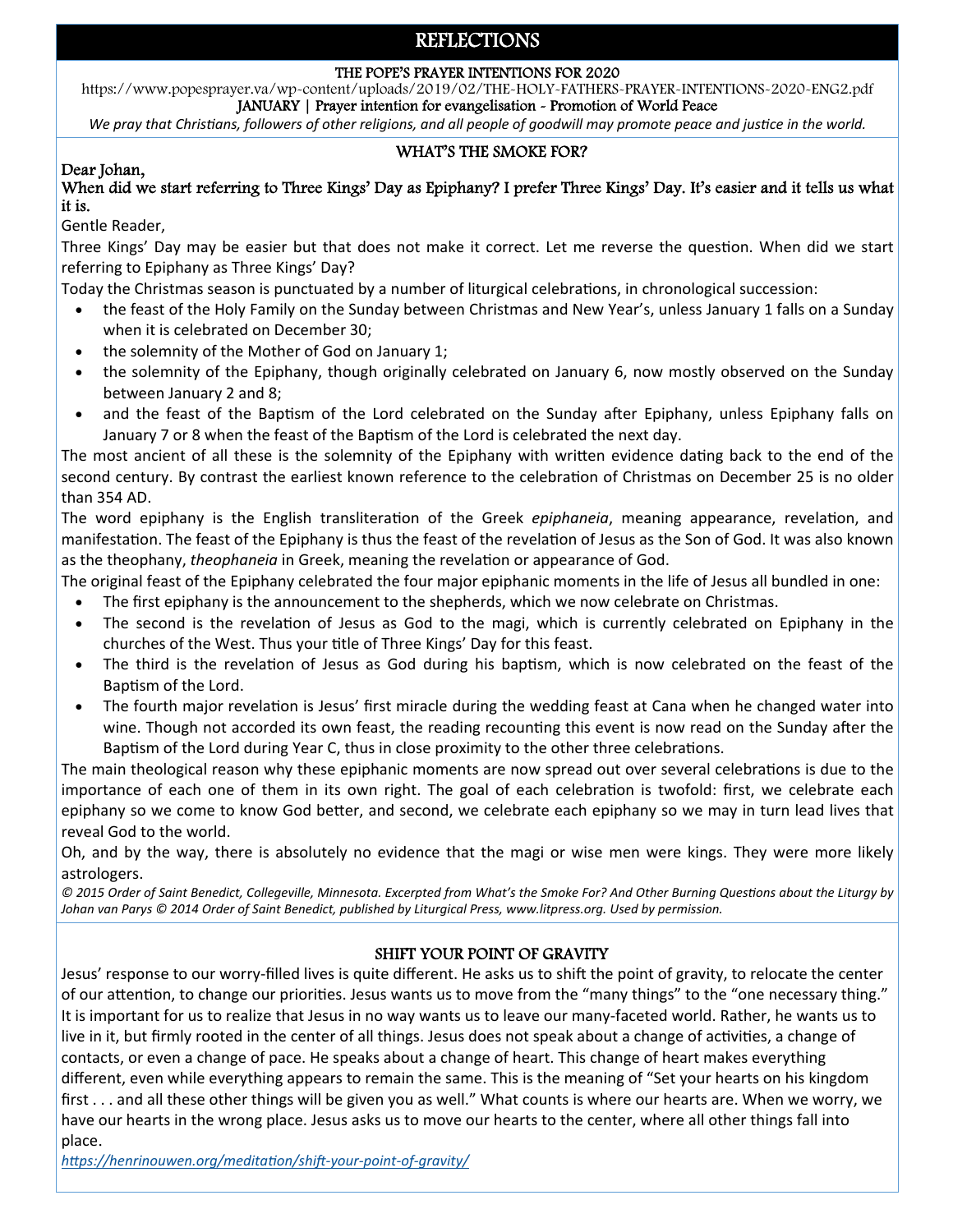# REFLECTIONS

#### THE POPE'S PRAYER INTENTIONS FOR 2020

https://www.popesprayer.va/wp-content/uploads/2019/02/THE-HOLY-FATHERS-PRAYER-INTENTIONS-2020-ENG2.pdf JANUARY | Prayer intention for evangelisation - Promotion of World Peace

*We pray that Christians, followers of other religions, and all people of goodwill may promote peace and justice in the world.* 

## WHAT'S THE SMOKE FOR?

## Dear Johan,

## When did we start referring to Three Kings' Day as Epiphany? I prefer Three Kings' Day. It's easier and it tells us what it is.

Gentle Reader,

Three Kings' Day may be easier but that does not make it correct. Let me reverse the question. When did we start referring to Epiphany as Three Kings' Day?

Today the Christmas season is punctuated by a number of liturgical celebrations, in chronological succession:

- the feast of the Holy Family on the Sunday between Christmas and New Year's, unless January 1 falls on a Sunday when it is celebrated on December 30;
- the solemnity of the Mother of God on January 1;
- the solemnity of the Epiphany, though originally celebrated on January 6, now mostly observed on the Sunday between January 2 and 8;
- and the feast of the Baptism of the Lord celebrated on the Sunday after Epiphany, unless Epiphany falls on January 7 or 8 when the feast of the Baptism of the Lord is celebrated the next day.

The most ancient of all these is the solemnity of the Epiphany with written evidence dating back to the end of the second century. By contrast the earliest known reference to the celebration of Christmas on December 25 is no older than 354 AD.

The word epiphany is the English transliteration of the Greek *epiphaneia*, meaning appearance, revelation, and manifestation. The feast of the Epiphany is thus the feast of the revelation of Jesus as the Son of God. It was also known as the theophany, *theophaneia* in Greek, meaning the revelation or appearance of God.

The original feast of the Epiphany celebrated the four major epiphanic moments in the life of Jesus all bundled in one:

The first epiphany is the announcement to the shepherds, which we now celebrate on Christmas.

- The second is the revelation of Jesus as God to the magi, which is currently celebrated on Epiphany in the churches of the West. Thus your title of Three Kings' Day for this feast.
- The third is the revelation of Jesus as God during his baptism, which is now celebrated on the feast of the Baptism of the Lord.
- The fourth major revelation is Jesus' first miracle during the wedding feast at Cana when he changed water into wine. Though not accorded its own feast, the reading recounting this event is now read on the Sunday after the Baptism of the Lord during Year C, thus in close proximity to the other three celebrations.

The main theological reason why these epiphanic moments are now spread out over several celebrations is due to the importance of each one of them in its own right. The goal of each celebration is twofold: first, we celebrate each epiphany so we come to know God better, and second, we celebrate each epiphany so we may in turn lead lives that reveal God to the world.

Oh, and by the way, there is absolutely no evidence that the magi or wise men were kings. They were more likely astrologers.

 $©$  2015 Order of Saint Benedict, Collegeville, Minnesota. Excerpted from What's the Smoke For? And Other Burning Questions about the Liturgy by *Johan van Parys © 2014 Order of Saint Benedict, published by Liturgical Press, www.litpress.org. Used by permission.* 

## SHIFT YOUR POINT OF GRAVITY

Jesus' response to our worry-filled lives is quite different. He asks us to shift the point of gravity, to relocate the center of our attention, to change our priorities. Jesus wants us to move from the "many things" to the "one necessary thing." It is important for us to realize that Jesus in no way wants us to leave our many-faceted world. Rather, he wants us to live in it, but firmly rooted in the center of all things. Jesus does not speak about a change of activities, a change of contacts, or even a change of pace. He speaks about a change of heart. This change of heart makes everything different, even while everything appears to remain the same. This is the meaning of "Set your hearts on his kingdom first . . . and all these other things will be given you as well." What counts is where our hearts are. When we worry, we have our hearts in the wrong place. Jesus asks us to move our hearts to the center, where all other things fall into place.

*https://henrinouwen.org/meditation/shift-your-point-of-gravity/*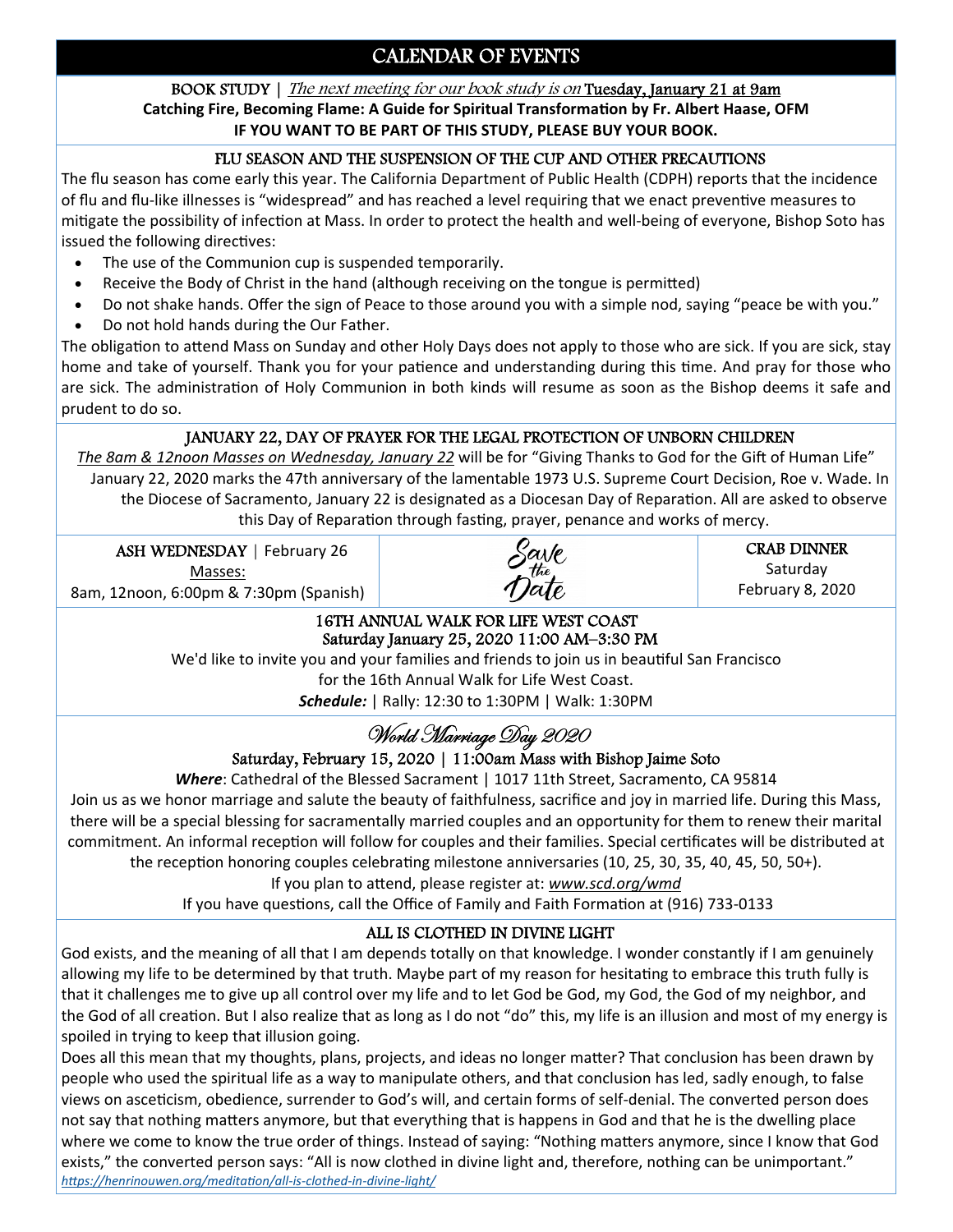# CALENDAR OF EVENTS

# BOOK STUDY | The next meeting for our book study is on Tuesday, January 21 at 9am

**Catching Fire, Becoming Flame: A Guide for Spiritual TransformaƟon by Fr. Albert Haase, OFM IF YOU WANT TO BE PART OF THIS STUDY, PLEASE BUY YOUR BOOK.**

# FLU SEASON AND THE SUSPENSION OF THE CUP AND OTHER PRECAUTIONS

The flu season has come early this year. The California Department of Public Health (CDPH) reports that the incidence of flu and flu-like illnesses is "widespread" and has reached a level requiring that we enact preventive measures to mitigate the possibility of infection at Mass. In order to protect the health and well-being of everyone, Bishop Soto has issued the following directives:

- The use of the Communion cup is suspended temporarily.
- Receive the Body of Christ in the hand (although receiving on the tongue is permitted)
- Do not shake hands. Offer the sign of Peace to those around you with a simple nod, saying "peace be with you."
- Do not hold hands during the Our Father.

The obligation to attend Mass on Sunday and other Holy Days does not apply to those who are sick. If you are sick, stay home and take of yourself. Thank you for your patience and understanding during this time. And pray for those who are sick. The administration of Holy Communion in both kinds will resume as soon as the Bishop deems it safe and prudent to do so.

# JANUARY 22, DAY OF PRAYER FOR THE LEGAL PROTECTION OF UNBORN CHILDREN

The 8am & 12noon Masses on Wednesday, January 22 will be for "Giving Thanks to God for the Gift of Human Life" January 22, 2020 marks the 47th anniversary of the lamentable 1973 U.S. Supreme Court Decision, Roe v. Wade. In the Diocese of Sacramento, January 22 is designated as a Diocesan Day of Reparation. All are asked to observe this Day of Reparation through fasting, prayer, penance and works of mercy.

ASH WEDNESDAY | February 26 Masses: 8am, 12noon, 6:00pm & 7:30pm (Spanish)



CRAB DINNER Saturday February 8, 2020

#### 16TH ANNUAL WALK FOR LIFE WEST COAST Saturday January 25, 2020 11:00 AM–3:30 PM

We'd like to invite you and your families and friends to join us in beautiful San Francisco

for the 16th Annual Walk for Life West Coast.

*Schedule:* | Rally: 12:30 to 1:30PM | Walk: 1:30PM



# Saturday, February 15, 2020 | 11:00am Mass with Bishop Jaime Soto

*Where*: Cathedral of the Blessed Sacrament | 1017 11th Street, Sacramento, CA 95814

Join us as we honor marriage and salute the beauty of faithfulness, sacrifice and joy in married life. During this Mass, there will be a special blessing for sacramentally married couples and an opportunity for them to renew their marital commitment. An informal reception will follow for couples and their families. Special certificates will be distributed at the reception honoring couples celebrating milestone anniversaries (10, 25, 30, 35, 40, 45, 50, 50+).

If you plan to attend, please register at: *www.scd.org/wmd* 

If you have questions, call the Office of Family and Faith Formation at (916) 733-0133

# ALL IS CLOTHED IN DIVINE LIGHT

God exists, and the meaning of all that I am depends totally on that knowledge. I wonder constantly if I am genuinely allowing my life to be determined by that truth. Maybe part of my reason for hesitating to embrace this truth fully is that it challenges me to give up all control over my life and to let God be God, my God, the God of my neighbor, and the God of all creation. But I also realize that as long as I do not "do" this, my life is an illusion and most of my energy is spoiled in trying to keep that illusion going.

Does all this mean that my thoughts, plans, projects, and ideas no longer matter? That conclusion has been drawn by people who used the spiritual life as a way to manipulate others, and that conclusion has led, sadly enough, to false views on asceticism, obedience, surrender to God's will, and certain forms of self-denial. The converted person does not say that nothing matters anymore, but that everything that is happens in God and that he is the dwelling place where we come to know the true order of things. Instead of saying: "Nothing matters anymore, since I know that God exists," the converted person says: "All is now clothed in divine light and, therefore, nothing can be unimportant." *hƩps://henrinouwen.org/meditaƟon/all‐is‐clothed‐in‐divine‐light/*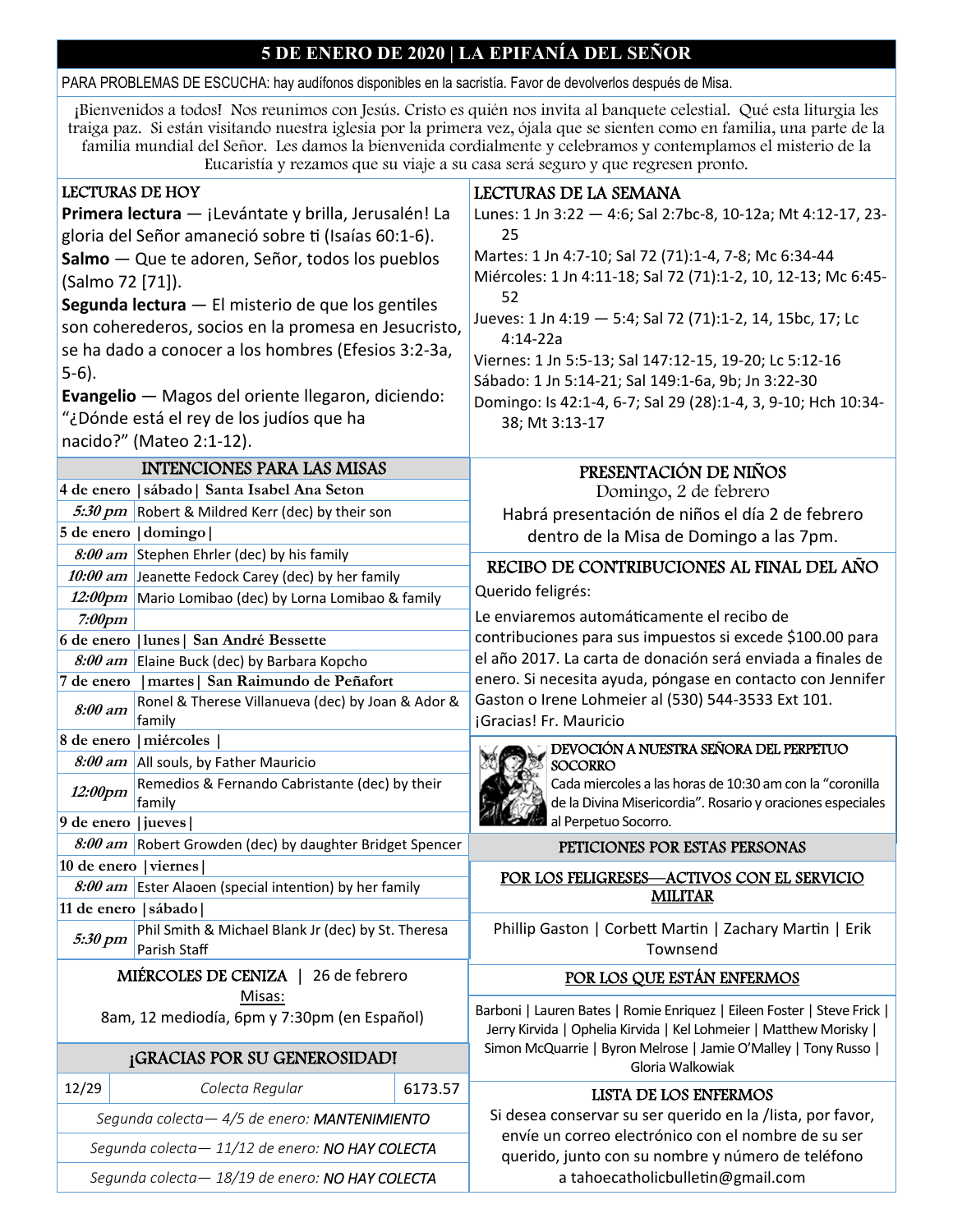# **5 DE ENERO DE 2020 | LA EPIFANÍA DEL SEÑOR**

PARA PROBLEMAS DE ESCUCHA: hay audífonos disponibles en la sacristía. Favor de devolverlos después de Misa.

¡Bienvenidos a todos! Nos reunimos con Jesús. Cristo es quién nos invita al banquete celestial. Qué esta liturgia les traiga paz. Si están visitando nuestra iglesia por la primera vez, ójala que se sienten como en familia, una parte de la familia mundial del Señor. Les damos la bienvenida cordialmente y celebramos y contemplamos el misterio de la Eucaristía y rezamos que su viaje a su casa será seguro y que regresen pronto.

| <b>LECTURAS DE HOY</b>                                   |                                                                    |         | LECTURAS DE LA SEMANA                                                                                                                                                                                                                                                                                                                     |
|----------------------------------------------------------|--------------------------------------------------------------------|---------|-------------------------------------------------------------------------------------------------------------------------------------------------------------------------------------------------------------------------------------------------------------------------------------------------------------------------------------------|
| Primera lectura - ¡Levántate y brilla, Jerusalén! La     |                                                                    |         | Lunes: 1 Jn 3:22 - 4:6; Sal 2:7bc-8, 10-12a; Mt 4:12-17, 23-                                                                                                                                                                                                                                                                              |
|                                                          | gloria del Señor amaneció sobre ti (Isaías 60:1-6).                |         | 25                                                                                                                                                                                                                                                                                                                                        |
| Salmo - Que te adoren, Señor, todos los pueblos          |                                                                    |         | Martes: 1 Jn 4:7-10; Sal 72 (71):1-4, 7-8; Mc 6:34-44                                                                                                                                                                                                                                                                                     |
| (Salmo 72 [71]).                                         |                                                                    |         | Miércoles: 1 Jn 4:11-18; Sal 72 (71):1-2, 10, 12-13; Mc 6:45-                                                                                                                                                                                                                                                                             |
|                                                          | Segunda lectura - El misterio de que los gentiles                  |         | 52                                                                                                                                                                                                                                                                                                                                        |
| son coherederos, socios en la promesa en Jesucristo,     |                                                                    |         | Jueves: 1 Jn 4:19 - 5:4; Sal 72 (71):1-2, 14, 15bc, 17; Lc                                                                                                                                                                                                                                                                                |
| se ha dado a conocer a los hombres (Efesios 3:2-3a,      |                                                                    |         | $4:14-22a$                                                                                                                                                                                                                                                                                                                                |
| $5-6$ ).                                                 |                                                                    |         | Viernes: 1 Jn 5:5-13; Sal 147:12-15, 19-20; Lc 5:12-16                                                                                                                                                                                                                                                                                    |
| <b>Evangelio</b> — Magos del oriente llegaron, diciendo: |                                                                    |         | Sábado: 1 Jn 5:14-21; Sal 149:1-6a, 9b; Jn 3:22-30<br>Domingo: Is 42:1-4, 6-7; Sal 29 (28):1-4, 3, 9-10; Hch 10:34-                                                                                                                                                                                                                       |
| "¿Dónde está el rey de los judíos que ha                 |                                                                    |         | 38; Mt 3:13-17                                                                                                                                                                                                                                                                                                                            |
| nacido?" (Mateo 2:1-12).                                 |                                                                    |         |                                                                                                                                                                                                                                                                                                                                           |
| <b>INTENCIONES PARA LAS MISAS</b>                        |                                                                    |         |                                                                                                                                                                                                                                                                                                                                           |
|                                                          | 4 de enero   sábado   Santa Isabel Ana Seton                       |         | PRESENTACIÓN DE NIÑOS<br>Domingo, 2 de febrero                                                                                                                                                                                                                                                                                            |
|                                                          | 5:30 pm Robert & Mildred Kerr (dec) by their son                   |         | Habrá presentación de niños el día 2 de febrero                                                                                                                                                                                                                                                                                           |
|                                                          | 5 de enero   domingo                                               |         |                                                                                                                                                                                                                                                                                                                                           |
|                                                          | 8:00 am Stephen Ehrler (dec) by his family                         |         | dentro de la Misa de Domingo a las 7pm.                                                                                                                                                                                                                                                                                                   |
|                                                          | 10:00 am Jeanette Fedock Carey (dec) by her family                 |         | RECIBO DE CONTRIBUCIONES AL FINAL DEL AÑO                                                                                                                                                                                                                                                                                                 |
|                                                          | 12:00pm Mario Lomibao (dec) by Lorna Lomibao & family              |         | Querido feligrés:<br>Le enviaremos automáticamente el recibo de<br>contribuciones para sus impuestos si excede \$100.00 para<br>el año 2017. La carta de donación será enviada a finales de<br>enero. Si necesita ayuda, póngase en contacto con Jennifer<br>Gaston o Irene Lohmeier al (530) 544-3533 Ext 101.<br>¡Gracias! Fr. Mauricio |
| $7:00$ pm                                                |                                                                    |         |                                                                                                                                                                                                                                                                                                                                           |
|                                                          | 6 de enero   lunes   San André Bessette                            |         |                                                                                                                                                                                                                                                                                                                                           |
|                                                          | 8:00 am Elaine Buck (dec) by Barbara Kopcho                        |         |                                                                                                                                                                                                                                                                                                                                           |
|                                                          | 7 de enero   martes   San Raimundo de Peñafort                     |         |                                                                                                                                                                                                                                                                                                                                           |
| 8:00 am                                                  | Ronel & Therese Villanueva (dec) by Joan & Ador &<br>family        |         |                                                                                                                                                                                                                                                                                                                                           |
|                                                          | 8 de enero   miércoles                                             |         | DEVOCIÓN A NUESTRA SEÑORA DEL PERPETUO                                                                                                                                                                                                                                                                                                    |
|                                                          | 8:00 am All souls, by Father Mauricio                              |         | <b>SOCORRO</b>                                                                                                                                                                                                                                                                                                                            |
| 12:00pm                                                  | Remedios & Fernando Cabristante (dec) by their<br>family           |         | Cada miercoles a las horas de 10:30 am con la "coronilla<br>de la Divina Misericordia". Rosario y oraciones especiales                                                                                                                                                                                                                    |
| 9 de enero   jueves                                      |                                                                    |         |                                                                                                                                                                                                                                                                                                                                           |
|                                                          |                                                                    |         | al Perpetuo Socorro.                                                                                                                                                                                                                                                                                                                      |
|                                                          | 8:00 am Robert Growden (dec) by daughter Bridget Spencer           |         | PETICIONES POR ESTAS PERSONAS                                                                                                                                                                                                                                                                                                             |
| 10 de enero   viernes                                    |                                                                    |         |                                                                                                                                                                                                                                                                                                                                           |
|                                                          | 8:00 am Ester Alaoen (special intention) by her family             |         | POR LOS FELIGRESES-ACTIVOS CON EL SERVICIO<br><b>MILITAR</b>                                                                                                                                                                                                                                                                              |
| 11 de enero   sábado                                     |                                                                    |         |                                                                                                                                                                                                                                                                                                                                           |
| 5:30 pm                                                  | Phil Smith & Michael Blank Jr (dec) by St. Theresa<br>Parish Staff |         | Phillip Gaston   Corbett Martin   Zachary Martin   Erik<br>Townsend                                                                                                                                                                                                                                                                       |
|                                                          | MIÉRCOLES DE CENIZA   26 de febrero                                |         | POR LOS QUE ESTÁN ENFERMOS                                                                                                                                                                                                                                                                                                                |
|                                                          | Misas:                                                             |         |                                                                                                                                                                                                                                                                                                                                           |
|                                                          | 8am, 12 mediodía, 6pm y 7:30pm (en Español)                        |         | Barboni   Lauren Bates   Romie Enriquez   Eileen Foster   Steve Frick                                                                                                                                                                                                                                                                     |
|                                                          | <b>¡GRACIAS POR SU GENEROSIDAD!</b>                                |         | Jerry Kirvida   Ophelia Kirvida   Kel Lohmeier   Matthew Morisky  <br>Simon McQuarrie   Byron Melrose   Jamie O'Malley   Tony Russo  <br>Gloria Walkowiak                                                                                                                                                                                 |
| 12/29                                                    | Colecta Regular                                                    | 6173.57 |                                                                                                                                                                                                                                                                                                                                           |
|                                                          | Segunda colecta - 4/5 de enero: MANTENIMIENTO                      |         | LISTA DE LOS ENFERMOS<br>Si desea conservar su ser querido en la /lista, por favor,                                                                                                                                                                                                                                                       |
|                                                          | Segunda colecta - 11/12 de enero: NO HAY COLECTA                   |         | envíe un correo electrónico con el nombre de su ser<br>querido, junto con su nombre y número de teléfono                                                                                                                                                                                                                                  |